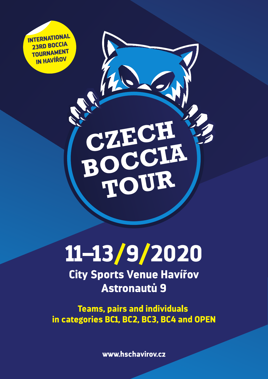**INTERNATIONAL** 23RD BOCCIA **TOURNAMENT** IN HAVÍŘOV

11-13/9/2020

CZECH<br>BOCCIA<br>TOUR

**City Sports Venue Havířov Astronautů 9** 

**Teams, pairs and individuals** in categories BC1, BC2, BC3, BC4 and OPEN

www.hschavirov.cz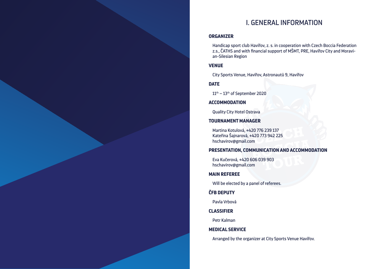# I. GENERAL INFORMATION

# **ORGANIZER**

Handicap sport club Havířov, z. s. in cooperation with Czech Boccia Federation z.s., ČATHS and with financial support of MŠMT, PRE, Havířov City and Moravian-Silesian Region

# **VENUE**

City Sports Venue, Havířov, Astronautů 9, Havířov

**DATE**

11<sup>th</sup> – 13<sup>th</sup> of September 2020

#### **ACCOMMODATION**

Quality City Hotel Ostrava

#### **TOURNAMENT MANAGER**

Martina Kotulová, +420 776 239 137 Kateřina Šajnarová, +420 773 942 225 hschavirov@gmail.com

# **PRESENTATION, COMMUNICATION AND ACCOMMODATION**

Eva Kučerová, +420 606 039 903 hschavirov@gmail.com

#### **MAIN REFEREE**

Will be elected by a panel of referees.

# **ČFB DEPUTY**

Pavla Vrbová

#### **CLASSIFIER**

Petr Kalman

# **MEDICAL SERVICE**

Arranged by the organizer at City Sports Venue Havířov.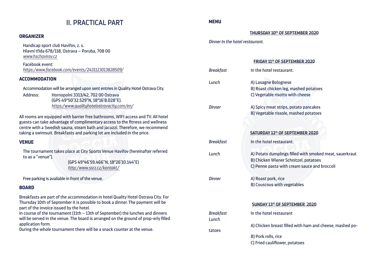# II. PRACTICAL PART

# **ORGANIZER**

Handicap sport club Havířov, z. s. Hlavní třída 678/118, Ostrava – Poruba, 708 00 *www.hschavirov.cz* 

Facebook event: *https:/www.facebook.com/events/2431123013828509/*

# **ACCOMMODATION**

Accommodation will be arranged upon sent entries in Quality Hotel Ostrava City.

Address: Hornopolní 3313/42, 702 00 Ostrava (GPS 49°50'32.529"N, 18°16'8.028"E). *https:/www.qualityhotelostravacity.com/en/*

All rooms are equipped with barrier free bathrooms, WIFI access and TV. All hotel guests can take advantage of complimentary access to the fitness and wellness centre with a Swedish sauna, steam bath and jacuzzi. Therefore, we recommend taking a swimsuit. Breakfasts and parking lot are included in the price.

# **VENUE**

The tournament takes place at City Sports Venue Havířov (hereinafter referred to as a "venue").

> (GPS 49°46'59.466"N, 18°26'10.144"E) *http:/www.ssrz.cz/kontakt/*

Free parking is available in front of the venue.

# **BOARD**

Breakfasts are part of the accommodation in hotel Quality Hotel Ostrava City. For Thursday 10th of September it is possible to book a dinner. The payment will be part of the invoice issued by the hotel.

In course of the tournament (11th – 13th of September) the lunches and dinners will be served in the venue. The board is arranged on the ground of prop-erly filled application form.

During the whole tournament there will be a snack counter at the venue.

# **MENU**

**Thursday 10th of September 2020**

### *Dinner In the hotel restaurant.*

| <b>ERIDAY 11th OF SEPTEMBER 2020</b> |                                                                                                                                                         |  |  |
|--------------------------------------|---------------------------------------------------------------------------------------------------------------------------------------------------------|--|--|
| <b>Breakfast</b>                     | In the hotel restaurant.                                                                                                                                |  |  |
| Lunch                                | A) Lasagne Bolognese<br>B) Roast chicken leg, mashed potatoes<br>C) Vegetable risotto with cheese                                                       |  |  |
| <b>Dinner</b>                        | A) Spicy meat strips, potato pancakes<br>B) Vegetable rissole, mashed potatoes<br>SATURDAY 12th OF SEPTEMBER 2020                                       |  |  |
| <b>Breakfast</b>                     | In the hotel restaurant.                                                                                                                                |  |  |
| Lunch                                | A) Potato dumplings filled with smoked meat, sauerkraut<br><b>B) Chicken Wiener Schnitzel, potatoes</b><br>C) Penne pasta with cream sauce and broccoli |  |  |
| <b>Dinner</b>                        | A) Roast pork, rice<br><b>B) Couscous with vegetables</b>                                                                                               |  |  |
|                                      | SUNDAY 13th OF SEPTEMBER 2020                                                                                                                           |  |  |
| <b>Breakfast</b><br>Lunch<br>tatoes  | In the hotel restaurant                                                                                                                                 |  |  |
|                                      | A) Chicken breast filled with ham and cheese, mashed po-                                                                                                |  |  |
|                                      | B) Pork rolls, rice                                                                                                                                     |  |  |

C) Fried cauliflower, potatoes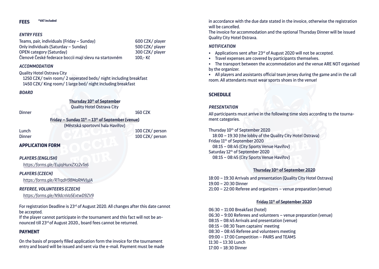#### *Entry fees*

Teams, pair, individuals (Friday – Sunday) 600 CZK/ player Only individuals (Saturday – Sunday) 500 CZK/ player OPEN category (Saturday) 300 CZK/ player Členové České federace boccii mají slevu na startovném 100,- Kč

#### *Accommodation*

Quality Hotel Ostrava City 1250 CZK/ twin room/ 2 seperated beds/ night including breakfast 1450 CZK/ King room/ 1 large bed/ night including breakfast

#### *Board*

**Thursday 10th of September** Quality Hotel Ostrava City

Dinner 160 CZK

**Friday – Sunday 11th – 13th of September (venue)** (Městská sportovní hala Havířov)

Lunch **100 CZK/ person** Dinner 100 CZK/ person

#### **APPLICATION FORM**

#### *Players (English)*

*https:/forms.gle/EujojHurxZXz2vTe6*

#### *Players (Czech)*

*https:/forms.gle/RTrqdH98MaRMVJyJA*

#### *Referee, volunteers (Czech)*

*https:/forms.gle/N9dcnVa5ExtwD9ZV9*

For registration Deadline is 23rd of August 2020. All changes after this date cannot be accepted.

If the player cannot participate in the tournament and this fact will not be announced till 23rd of August 2020., board fees cannot be returned.

# **PAYMENT**

On the basis of properly filled application form the invoice for the tournament entry and board will be issued and sent via the e-mail. Payment must be made in accordance with the due date stated in the invoice, otherwise the registration will be cancelled.

The invoice for accommodation and the optional Thursday Dinner will be issued Quality City Hotel Ostrava.

#### *Notification*

- Applications sent after 23<sup>rd</sup> of August 2020 will not be accepted.
- • Travel expenses are covered by participants themselves.
- • The transport between the accommodation and the venue ARE NOT organised by the organizer.

• All players and assistants official team jersey during the game and in the call room. All attendants must wear sports shoes in the venue!

# **SCHEDULE**

#### *Presentation*

All participants must arrive in the following time slots according to the tournament categories.

Thursday 10th of September 2020

18:00 – 19:30 (the lobby of the Quality City Hotel Ostrava) Friday 11th of September 2020 08:15 – 08:45 (City Sports Venue Havířov) Saturday 12th of September 2020 08:15 – 08:45 (City Sports Venue Havířov)

#### **Thursday 10th of September 2020**

18:00 – 19:30 Arrivals and presentation (Quality City Hotel Ostrava) 19:00 – 20:30 Dinner 21:00 – 22:00 Referee and organizers – venue preparation (venue)

#### **Friday 11th of September 2020**

06:30 – 11:00 Breakfast (hotel) 06:30 – 9:00 Referees and volunteers – venue preparation (venue) 08:15 – 08:45 Arrivals and presentation (venue) 08:15 – 08:30 Team captains ́ meeting 08:30 – 08:45 Referee and volunteers meeting 09:00 – 17:00 Competition – PAIRS and TEAMS  $11:30 - 13:30$  Lunch 17:00 – 18:30 Dinner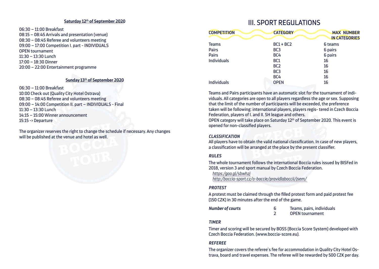#### **Saturday 12th of September 2020**

06:30 – 11:00 Breakfast 08:15 – 08:45 Arrivals and presentation (venue) 08:30 – 08:45 Referee and volunteers meeting 09:00 – 17:00 Competition I. part - INDIVIDUALS OPEN tournament  $11:30 - 13:30$  Lunch 17:00 – 18:30 Dinner 20:00 – 22:00 Entertainment programme

#### **Sunday 13th of September 2020**

06:30 – 11:00 Breakfast 10:00 Check out (Quality City Hotel Ostrava) 08:30 – 08:45 Referee and volunteers meeting 09:00 – 14:00 Competition II. part – INDIVIDUALS - Final  $11:30 - 13:30$  Lunch 14:15 – 15:00 Winner announcement 15:15 -> Departure

The organizer reserves the right to change the schedule if necessary. Any changes will be published at the venue and hotel as well.

# **III. SPORT REGULATIONS**

| <b>COMPETITION</b> | <b>CATEGORY</b> | <b>MAX NUMBER</b><br><b>IN CATEGORIES</b> |
|--------------------|-----------------|-------------------------------------------|
| <b>Teams</b>       | $BC1 + BC2$     | 6 teams                                   |
| <b>Pairs</b>       | BC <sub>3</sub> | 6 pairs                                   |
| <b>Pairs</b>       | BC4             | 6 pairs                                   |
| <b>Individuals</b> | BC <sub>1</sub> | 16                                        |
|                    | BC <sub>2</sub> | 16                                        |
|                    | BC <sub>3</sub> | 16                                        |
|                    | BC4             | 16                                        |
| <b>Individuals</b> | <b>OPEN</b>     | 16                                        |

Teams and Pairs participants have an automatic slot for the tournament of individuals. All categories are open to all players regardless the age or sex. Supposing that the limit of the number of participants will be exceeded, the preference taken will be following: international players, players regis- tered in Czech Boccia Federation, players of I. and II. SH league and others.

OPEN category will take place on Saturday 12th of September 2020. This event is opened for non-classified players.

#### *Classification*

All players have to obtain the valid national classification. In case of new players, a classification will be arranged at the place by the present classifier.

#### *Rules*

The whole tournament follows the international Boccia rules issued by BISFed in 2018, version 3 and sport manual by Czech Boccia Federation.

*https:/goo.gl/sbwhzj http:/boccia-sport.cz/o-boccie/pravidlaboccii/jsem/* 

#### *Protest*

A protest must be claimed through the filled protest form and paid protest fee (150 CZK) in 30 minutes after the end of the game.

**Number of courts 6** Teams, pairs, individuals<br> **1992** CDEN tournament 2 OPEN tournament

# *Timer*

Timer and scoring will be secured by BOSS (Boccia Score System) developed with Czech Boccia Federation. (www.boccia-score.eu)*.*

# *Referee*

The organizer covers the referee's fee for accommodation in Quality City Hotel Ostrava, board and travel expenses. The referee will be rewarded by 500 CZK per day.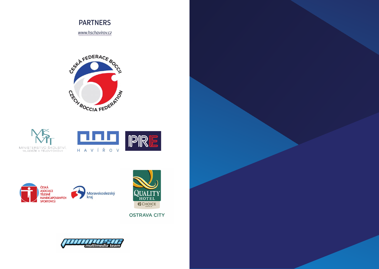

*www.hschavirov.cz*









**OSTRAVA CITY**